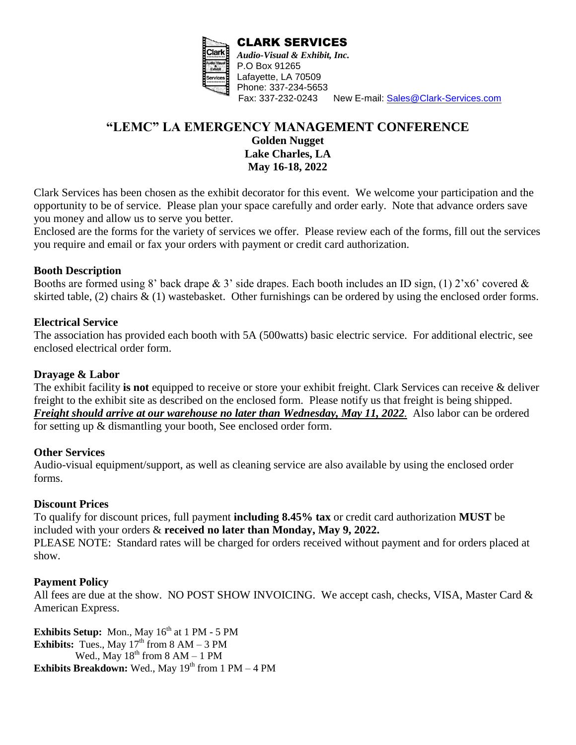

New E-mail: [Sales@Clark-Services.com](mailto:Sales@Clark-Services.com)

## **"LEMC" LA EMERGENCY MANAGEMENT CONFERENCE Golden Nugget Lake Charles, LA May 16-18, 2022**

Clark Services has been chosen as the exhibit decorator for this event. We welcome your participation and the opportunity to be of service. Please plan your space carefully and order early. Note that advance orders save you money and allow us to serve you better.

Enclosed are the forms for the variety of services we offer. Please review each of the forms, fill out the services you require and email or fax your orders with payment or credit card authorization.

#### **Booth Description**

Booths are formed using 8' back drape  $\&$  3' side drapes. Each booth includes an ID sign, (1) 2'x6' covered  $\&$ skirted table, (2) chairs  $\&$  (1) wastebasket. Other furnishings can be ordered by using the enclosed order forms.

### **Electrical Service**

The association has provided each booth with 5A (500watts) basic electric service. For additional electric, see enclosed electrical order form.

#### **Drayage & Labor**

The exhibit facility **is not** equipped to receive or store your exhibit freight. Clark Services can receive & deliver freight to the exhibit site as described on the enclosed form. Please notify us that freight is being shipped. *Freight should arrive at our warehouse no later than Wednesday, May 11, 2022.* Also labor can be ordered for setting up & dismantling your booth, See enclosed order form.

### **Other Services**

Audio-visual equipment/support, as well as cleaning service are also available by using the enclosed order forms.

### **Discount Prices**

To qualify for discount prices, full payment **including 8.45% tax** or credit card authorization **MUST** be included with your orders & **received no later than Monday, May 9, 2022.** PLEASE NOTE: Standard rates will be charged for orders received without payment and for orders placed at show.

### **Payment Policy**

All fees are due at the show. NO POST SHOW INVOICING. We accept cash, checks, VISA, Master Card & American Express.

**Exhibits Setup:** Mon., May 16<sup>th</sup> at 1 PM - 5 PM **Exhibits:** Tues., May  $17<sup>th</sup>$  from  $8 AM - 3 PM$ Wed., May  $18^{th}$  from 8 AM – 1 PM **Exhibits Breakdown:** Wed., May  $19<sup>th</sup>$  from 1 PM – 4 PM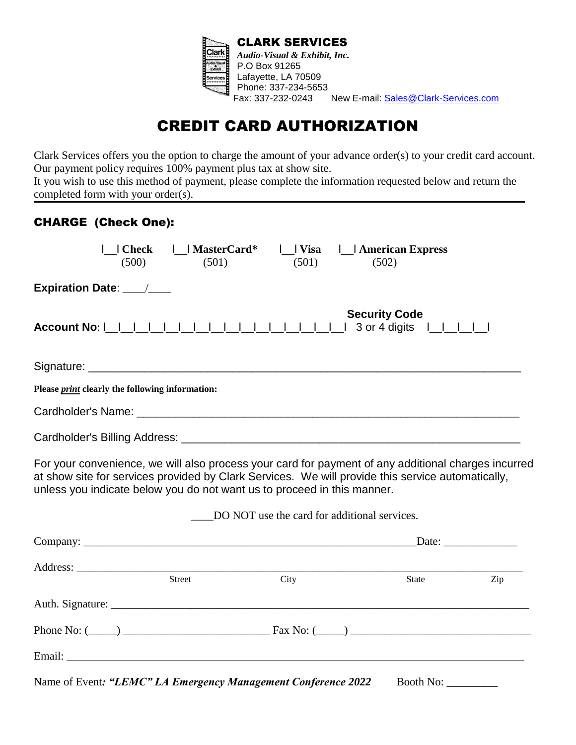

# CREDIT CARD AUTHORIZATION

Clark Services offers you the option to charge the amount of your advance order(s) to your credit card account. Our payment policy requires 100% payment plus tax at show site.

It you wish to use this method of payment, please complete the information requested below and return the completed form with your order(s).

## CHARGE (Check One):

| Check     MasterCard*<br>(500)<br>(501)                                                                                                                                                                                                                                             |                                              | (501) | (502)                |                     |     |
|-------------------------------------------------------------------------------------------------------------------------------------------------------------------------------------------------------------------------------------------------------------------------------------|----------------------------------------------|-------|----------------------|---------------------|-----|
| Expiration Date: ___/___                                                                                                                                                                                                                                                            |                                              |       |                      |                     |     |
|                                                                                                                                                                                                                                                                                     |                                              |       | <b>Security Code</b> |                     |     |
| Signature: Signature: Signature: Signature: Signature: Signature: Signature: Signature: Signature: Signature: Signature: Signature: Signature: Signature: Signature: Signature: Signature: Signature: Signature: Signature: Si                                                      |                                              |       |                      |                     |     |
| Please <i>print</i> clearly the following information:                                                                                                                                                                                                                              |                                              |       |                      |                     |     |
|                                                                                                                                                                                                                                                                                     |                                              |       |                      |                     |     |
|                                                                                                                                                                                                                                                                                     |                                              |       |                      |                     |     |
| For your convenience, we will also process your card for payment of any additional charges incurred<br>at show site for services provided by Clark Services. We will provide this service automatically,<br>unless you indicate below you do not want us to proceed in this manner. |                                              |       |                      |                     |     |
|                                                                                                                                                                                                                                                                                     | DO NOT use the card for additional services. |       |                      |                     |     |
|                                                                                                                                                                                                                                                                                     |                                              |       |                      | Date:               |     |
| Address: <u>Address</u> : Address: Address: Address: Address: Address: Address: Address: Address: Address: Address: Address: Address: Address: Address: Address: Address: Address: Address: Address: Address: Address: Address: Addr                                                |                                              |       |                      |                     |     |
| Street                                                                                                                                                                                                                                                                              | City                                         |       |                      | <b>State</b>        | Zip |
|                                                                                                                                                                                                                                                                                     |                                              |       |                      |                     |     |
|                                                                                                                                                                                                                                                                                     |                                              |       |                      |                     |     |
|                                                                                                                                                                                                                                                                                     |                                              |       |                      |                     |     |
| Name of Event: "LEMC" LA Emergency Management Conference 2022                                                                                                                                                                                                                       |                                              |       |                      | Booth No: _________ |     |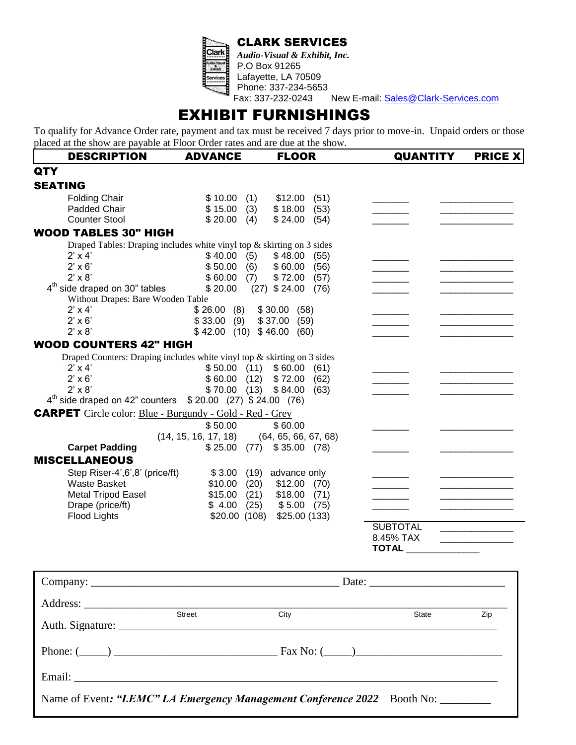CLARK SERVICES



*Audio-Visual & Exhibit, Inc.* P.O Box 91265 Lafayette, LA 70509 Phone: 337-234-5653

New E-mail: [Sales@Clark-Services.com](mailto:clarkservices@bellsouth.net)

# EXHIBIT FURNISHINGS

To qualify for Advance Order rate, payment and tax must be received 7 days prior to move-in. Unpaid orders or those placed at the show are payable at Floor Order rates and are due at the show.

| <b>DESCRIPTION</b>                                                               | <b>ADVANCE</b>              | <b>FLOOR</b>            | <b>QUANTITY</b> | <b>PRICE X</b> |
|----------------------------------------------------------------------------------|-----------------------------|-------------------------|-----------------|----------------|
| <b>QTY</b>                                                                       |                             |                         |                 |                |
| <b>SEATING</b>                                                                   |                             |                         |                 |                |
| <b>Folding Chair</b>                                                             | \$10.00<br>(1)              | \$12.00<br>(51)         |                 |                |
| Padded Chair                                                                     | \$15.00<br>(3)              | \$18.00<br>(53)         |                 |                |
| <b>Counter Stool</b>                                                             | \$20.00<br>(4)              | \$24.00<br>(54)         |                 |                |
| <b>WOOD TABLES 30" HIGH</b>                                                      |                             |                         |                 |                |
| Draped Tables: Draping includes white vinyl top $\&$ skirting on 3 sides         |                             |                         |                 |                |
| $2' \times 4'$                                                                   | \$40.00<br>(5)              | \$48.00<br>(55)         |                 |                |
| $2' \times 6'$                                                                   | \$50.00<br>(6)              | \$60.00<br>(56)         |                 |                |
| $2' \times 8'$                                                                   | \$60.00<br>(7)              | \$72.00<br>(57)         |                 |                |
| 4 <sup>th</sup> side draped on 30" tables                                        | \$20.00                     | $(27)$ \$ 24.00<br>(76) |                 |                |
| Without Drapes: Bare Wooden Table                                                |                             |                         |                 |                |
| $2' \times 4'$                                                                   | \$26.00<br>(8)              | \$30.00<br>(58)         |                 |                |
| $2' \times 6'$                                                                   | $$33.00$ (9)                | \$37.00<br>(59)         |                 |                |
| $2' \times 8'$                                                                   | \$42.00(10)                 | \$46.00<br>(60)         |                 |                |
| <b>WOOD COUNTERS 42" HIGH</b>                                                    |                             |                         |                 |                |
| Draped Counters: Draping includes white vinyl top $&$ skirting on 3 sides        |                             |                         |                 |                |
| $2' \times 4'$                                                                   | \$50.00<br>(11)             | \$60.00<br>(61)         |                 |                |
| $2' \times 6'$                                                                   | \$60.00<br>(12)             | \$72.00<br>(62)         |                 |                |
| $2' \times 8'$                                                                   | \$70.00<br>(13)             | \$84.00<br>(63)         |                 |                |
| $4th$ side draped on 42" counters                                                | $$20.00$ (27) $$24.00$ (76) |                         |                 |                |
| <b>CARPET</b> Circle color: Blue - Burgundy - Gold - Red - Grey                  |                             |                         |                 |                |
|                                                                                  | \$50.00                     | \$60.00                 |                 |                |
|                                                                                  | (14, 15, 16, 17, 18)        | (64, 65, 66, 67, 68)    |                 |                |
| <b>Carpet Padding</b>                                                            | (77)<br>\$25.00             | \$35.00<br>(78)         |                 |                |
| <b>MISCELLANEOUS</b>                                                             |                             |                         |                 |                |
| Step Riser-4',6',8' (price/ft)                                                   | \$3.00<br>(19)              | advance only            |                 |                |
| <b>Waste Basket</b>                                                              | \$10.00<br>(20)             | \$12.00<br>(70)         |                 |                |
| <b>Metal Tripod Easel</b>                                                        | \$15.00<br>(21)             | \$18.00<br>(71)         |                 |                |
| Drape (price/ft)                                                                 | \$4.00<br>(25)              | \$5.00<br>(75)          |                 |                |
| <b>Flood Lights</b>                                                              | \$20.00<br>(108)            | \$25.00 (133)           |                 |                |
|                                                                                  |                             |                         | <b>SUBTOTAL</b> |                |
|                                                                                  |                             |                         | 8.45% TAX       |                |
|                                                                                  |                             |                         | <b>TOTAL</b>    |                |
|                                                                                  |                             |                         |                 |                |
|                                                                                  |                             |                         |                 |                |
|                                                                                  |                             |                         |                 |                |
|                                                                                  |                             |                         |                 |                |
|                                                                                  |                             |                         | State           | Zip            |
|                                                                                  |                             |                         |                 |                |
|                                                                                  |                             |                         |                 |                |
|                                                                                  |                             |                         |                 |                |
|                                                                                  |                             |                         |                 |                |
|                                                                                  |                             |                         |                 |                |
| Name of Event: "LEMC" LA Emergency Management Conference 2022 Booth No: ________ |                             |                         |                 |                |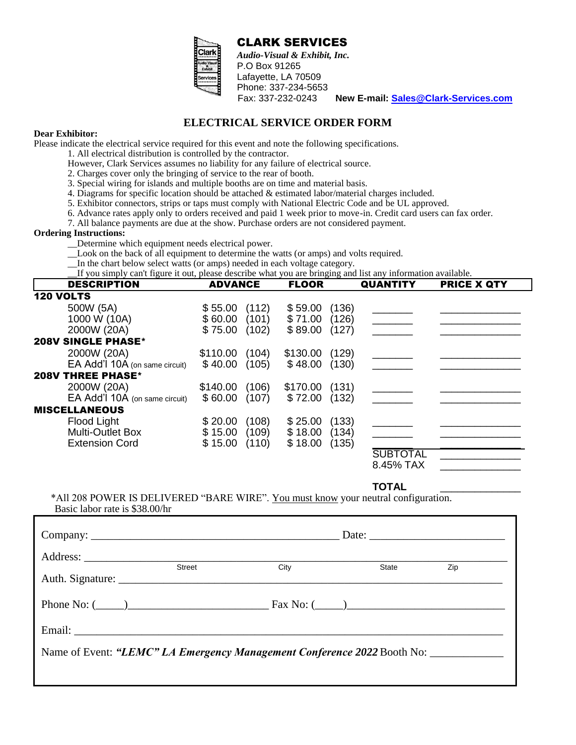

 CLARK SERVICES *Audio-Visual & Exhibit, Inc.* P.O Box 91265 Lafayette, LA 70509 Phone: 337-234-5653<br>Fax: 337-232-0243

Fax: 337-232-0243 **New E-mail: [Sales@Clark-Services.com](mailto:clarkservices@bellsouth.net)**

### **ELECTRICAL SERVICE ORDER FORM**

#### **Dear Exhibitor:**

Please indicate the electrical service required for this event and note the following specifications.

- 1. All electrical distribution is controlled by the contractor.
- However, Clark Services assumes no liability for any failure of electrical source.
- 2. Charges cover only the bringing of service to the rear of booth.
- 3. Special wiring for islands and multiple booths are on time and material basis.
- 4. Diagrams for specific location should be attached & estimated labor/material charges included.
- 5. Exhibitor connectors, strips or taps must comply with National Electric Code and be UL approved.
- 6. Advance rates apply only to orders received and paid 1 week prior to move-in. Credit card users can fax order.
- 7. All balance payments are due at the show. Purchase orders are not considered payment.

#### **Ordering Instructions:**

- \_\_Determine which equipment needs electrical power.
- Look on the back of all equipment to determine the watts (or amps) and volts required.
- In the chart below select watts (or amps) needed in each voltage category.

If you simply can't figure it out, please describe what you are bringing and list any information available.

| <b>DESCRIPTION</b>             | <b>ADVANCE</b>    | <b>FLOOR</b>      | <b>QUANTITY</b> | <b>PRICE X QTY</b> |
|--------------------------------|-------------------|-------------------|-----------------|--------------------|
| <b>120 VOLTS</b>               |                   |                   |                 |                    |
| 500W (5A)                      | \$55.00<br>(112)  | (136)<br>\$59.00  |                 |                    |
| 1000 W (10A)                   | \$60.00<br>(101)  | (126)<br>\$71.00  |                 |                    |
| 2000W (20A)                    | \$75.00<br>(102)  | (127)<br>\$89.00  |                 |                    |
| <b>208V SINGLE PHASE*</b>      |                   |                   |                 |                    |
| 2000W (20A)                    | \$110.00<br>(104) | \$130.00<br>(129) |                 |                    |
| EA Add'l 10A (on same circuit) | \$40.00<br>(105)  | \$48.00<br>(130)  |                 |                    |
| <b>208V THREE PHASE*</b>       |                   |                   |                 |                    |
| 2000W (20A)                    | \$140.00<br>(106) | \$170.00<br>(131) |                 |                    |
| EA Add'l 10A (on same circuit) | (107)<br>\$60.00  | \$72.00<br>(132)  |                 |                    |
| <b>MISCELLANEOUS</b>           |                   |                   |                 |                    |
| Flood Light                    | (108)<br>\$20.00  | (133)<br>\$25.00  |                 |                    |
| <b>Multi-Outlet Box</b>        | \$15.00<br>(109)  | (134)<br>\$18.00  |                 |                    |
| <b>Extension Cord</b>          | \$15.00<br>(110)  | (135)<br>\$18.00  |                 |                    |
|                                |                   |                   | <b>SUBTOTAL</b> |                    |
|                                |                   |                   | 8.45% TAX       |                    |

**TOTAL** \_\_\_\_\_\_\_\_\_\_\_\_\_\_

\*All 208 POWER IS DELIVERED "BARE WIRE". You must know your neutral configuration. Basic labor rate is \$38.00/hr

|                                                                         | Street | City | State | Zip |  |
|-------------------------------------------------------------------------|--------|------|-------|-----|--|
| Phone No: $(\_\_)$                                                      |        |      |       |     |  |
|                                                                         |        |      |       |     |  |
| Name of Event: "LEMC" LA Emergency Management Conference 2022 Booth No: |        |      |       |     |  |
|                                                                         |        |      |       |     |  |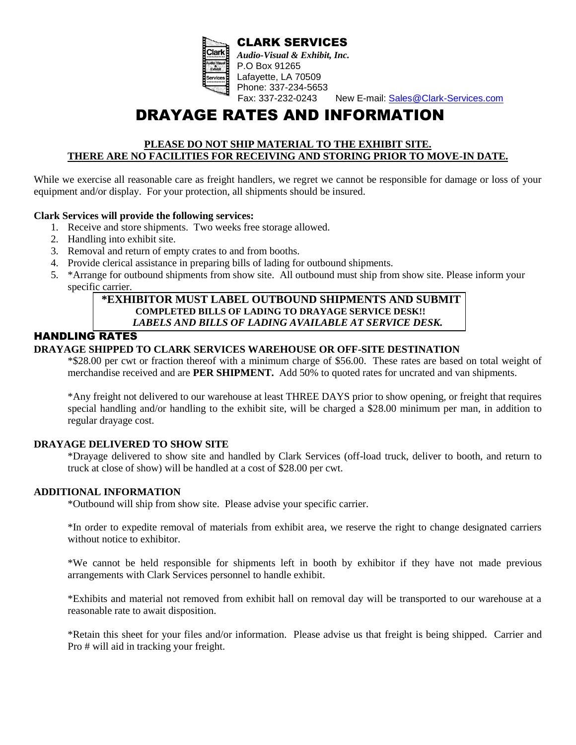

CLARK SERVICES *Audio-Visual & Exhibit, Inc.* P.O Box 91265 Lafayette, LA 70509 Phone: 337-234-5653<br>Fax: 337-232-0243 New E-mail: [Sales@Clark-Services.com](mailto:clarkservices@bellsouth.net)

# DRAYAGE RATES AND INFORMATION

#### **PLEASE DO NOT SHIP MATERIAL TO THE EXHIBIT SITE. THERE ARE NO FACILITIES FOR RECEIVING AND STORING PRIOR TO MOVE-IN DATE.**

While we exercise all reasonable care as freight handlers, we regret we cannot be responsible for damage or loss of your equipment and/or display. For your protection, all shipments should be insured.

#### **Clark Services will provide the following services:**

- 1. Receive and store shipments. Two weeks free storage allowed.
- 2. Handling into exhibit site.
- 3. Removal and return of empty crates to and from booths.
- 4. Provide clerical assistance in preparing bills of lading for outbound shipments.
- 5. \*Arrange for outbound shipments from show site. All outbound must ship from show site. Please inform your specific carrier.

#### **\*EXHIBITOR MUST LABEL OUTBOUND SHIPMENTS AND SUBMIT COMPLETED BILLS OF LADING TO DRAYAGE SERVICE DESK!!**  *LABELS AND BILLS OF LADING AVAILABLE AT SERVICE DESK.*

### HANDLING RATES

#### **DRAYAGE SHIPPED TO CLARK SERVICES WAREHOUSE OR OFF-SITE DESTINATION**

\*\$28.00 per cwt or fraction thereof with a minimum charge of \$56.00. These rates are based on total weight of merchandise received and are **PER SHIPMENT.** Add 50% to quoted rates for uncrated and van shipments.

\*Any freight not delivered to our warehouse at least THREE DAYS prior to show opening, or freight that requires special handling and/or handling to the exhibit site, will be charged a \$28.00 minimum per man, in addition to regular drayage cost.

#### **DRAYAGE DELIVERED TO SHOW SITE**

\*Drayage delivered to show site and handled by Clark Services (off-load truck, deliver to booth, and return to truck at close of show) will be handled at a cost of \$28.00 per cwt.

#### **ADDITIONAL INFORMATION**

\*Outbound will ship from show site. Please advise your specific carrier.

\*In order to expedite removal of materials from exhibit area, we reserve the right to change designated carriers without notice to exhibitor.

\*We cannot be held responsible for shipments left in booth by exhibitor if they have not made previous arrangements with Clark Services personnel to handle exhibit.

\*Exhibits and material not removed from exhibit hall on removal day will be transported to our warehouse at a reasonable rate to await disposition.

\*Retain this sheet for your files and/or information. Please advise us that freight is being shipped. Carrier and Pro # will aid in tracking your freight.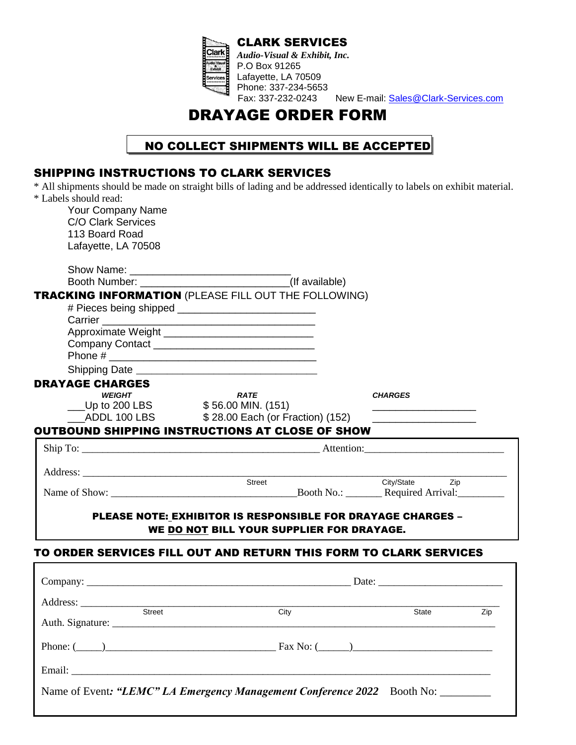

CLARK SERVICES *Audio-Visual & Exhibit, Inc.* P.O Box 91265 Lafayette, LA 70509 Phone: 337-234-5653<br>Fax: 337-232-0243 New E-mail: [Sales@Clark-Services.com](mailto:clarkservices@bellsouth.net)

# DRAYAGE ORDER FORM

## NO COLLECT SHIPMENTS WILL BE ACCEPTED

## SHIPPING INSTRUCTIONS TO CLARK SERVICES

\* All shipments should be made on straight bills of lading and be addressed identically to labels on exhibit material. \* Labels should read:

| Your Company Name         |                                                                                                                                                                                                                                |                |
|---------------------------|--------------------------------------------------------------------------------------------------------------------------------------------------------------------------------------------------------------------------------|----------------|
| <b>C/O Clark Services</b> |                                                                                                                                                                                                                                |                |
| 113 Board Road            |                                                                                                                                                                                                                                |                |
| Lafayette, LA 70508       |                                                                                                                                                                                                                                |                |
|                           |                                                                                                                                                                                                                                |                |
|                           |                                                                                                                                                                                                                                |                |
|                           |                                                                                                                                                                                                                                |                |
|                           | TRACKING INFORMATION (PLEASE FILL OUT THE FOLLOWING)                                                                                                                                                                           |                |
|                           |                                                                                                                                                                                                                                |                |
|                           |                                                                                                                                                                                                                                |                |
|                           |                                                                                                                                                                                                                                |                |
|                           | Company Contact _________________________________                                                                                                                                                                              |                |
|                           |                                                                                                                                                                                                                                |                |
|                           |                                                                                                                                                                                                                                |                |
| <b>DRAYAGE CHARGES</b>    |                                                                                                                                                                                                                                |                |
| <b>WEIGHT</b>             | <b>RATE</b>                                                                                                                                                                                                                    | <b>CHARGES</b> |
|                           | ___Up to 200 LBS $$56.00$ MIN. (151)                                                                                                                                                                                           |                |
|                           | _ADDL 100 LBS \$28.00 Each (or Fraction) (152)                                                                                                                                                                                 |                |
|                           | <b>OUTBOUND SHIPPING INSTRUCTIONS AT CLOSE OF SHOW</b>                                                                                                                                                                         |                |
|                           |                                                                                                                                                                                                                                |                |
|                           |                                                                                                                                                                                                                                |                |
|                           |                                                                                                                                                                                                                                |                |
|                           | Address: Street                                                                                                                                                                                                                | City/State Zip |
|                           |                                                                                                                                                                                                                                |                |
|                           | <b>PLEASE NOTE: EXHIBITOR IS RESPONSIBLE FOR DRAYAGE CHARGES -</b><br>WE DO NOT BILL YOUR SUPPLIER FOR DRAYAGE.<br>TO ORDER SERVICES FILL OUT AND RETURN THIS FORM TO CLARK SERVICES                                           |                |
|                           |                                                                                                                                                                                                                                |                |
| Address: <u>Street</u>    |                                                                                                                                                                                                                                |                |
|                           | City                                                                                                                                                                                                                           | State<br>Zip   |
|                           |                                                                                                                                                                                                                                |                |
|                           |                                                                                                                                                                                                                                |                |
|                           |                                                                                                                                                                                                                                |                |
|                           | Phone: $(\_\_)$                                                                                                                                                                                                                |                |
|                           | Email: The contract of the contract of the contract of the contract of the contract of the contract of the contract of the contract of the contract of the contract of the contract of the contract of the contract of the con |                |

Name of Event: "LEMC" LA Emergency Management Conference 2022 Booth No: \_\_\_\_\_\_\_\_\_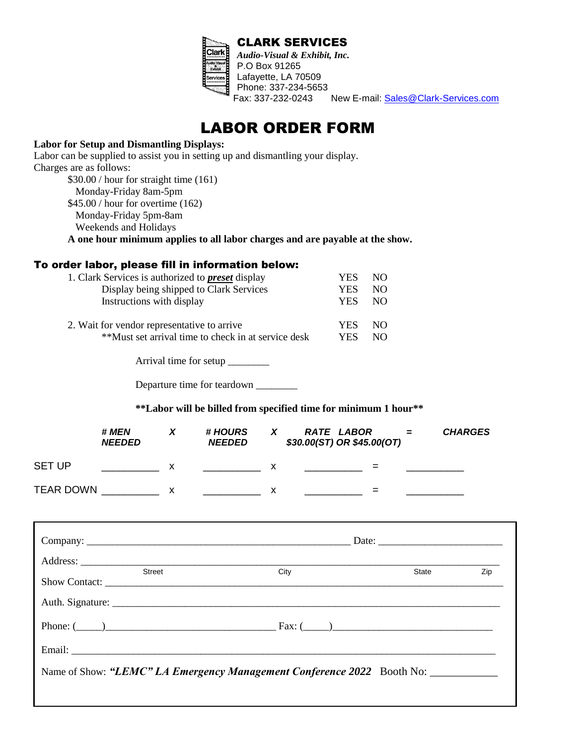

New E-mail: [Sales@Clark-Services.com](mailto:clarkservices@bellsouth.net)

## LABOR ORDER FORM

#### **Labor for Setup and Dismantling Displays:**

Labor can be supplied to assist you in setting up and dismantling your display. Charges are as follows: \$30.00 / hour for straight time (161) Monday-Friday 8am-5pm \$45.00 / hour for overtime (162) Monday-Friday 5pm-8am Weekends and Holidays

**A one hour minimum applies to all labor charges and are payable at the show.** 

#### To order labor, please fill in information below:

| 1. Clark Services is authorized to <b>preset</b> display | YES.       | NO. |
|----------------------------------------------------------|------------|-----|
| Display being shipped to Clark Services                  | YES        | NO. |
| Instructions with display                                | YES.       | NO. |
| 2. Wait for vendor representative to arrive              | YES.       | NO. |
| **Must set arrival time to check in at service desk      | <b>YES</b> | NO. |

Arrival time for setup \_\_\_\_\_\_\_\_

Departure time for teardown

**\*\*Labor will be billed from specified time for minimum 1 hour\*\***

|                  | # MEN<br><b>NEEDED</b> |   | # HOURS<br><b>NEEDED</b> |   | <b>RATE LABOR</b><br>\$30.00(ST) OR \$45.00(OT) | $=$ | <b>CHARGES</b> |
|------------------|------------------------|---|--------------------------|---|-------------------------------------------------|-----|----------------|
| <b>SET UP</b>    |                        | х |                          |   | =                                               |     |                |
| <b>TEAR DOWN</b> |                        | х |                          | v | =                                               |     |                |

| Street | City                                                                   | State | Zip |
|--------|------------------------------------------------------------------------|-------|-----|
|        |                                                                        |       |     |
|        | Phone: $(\_\_)$                                                        |       |     |
|        |                                                                        |       |     |
|        | Name of Show: "LEMC" LA Emergency Management Conference 2022 Booth No: |       |     |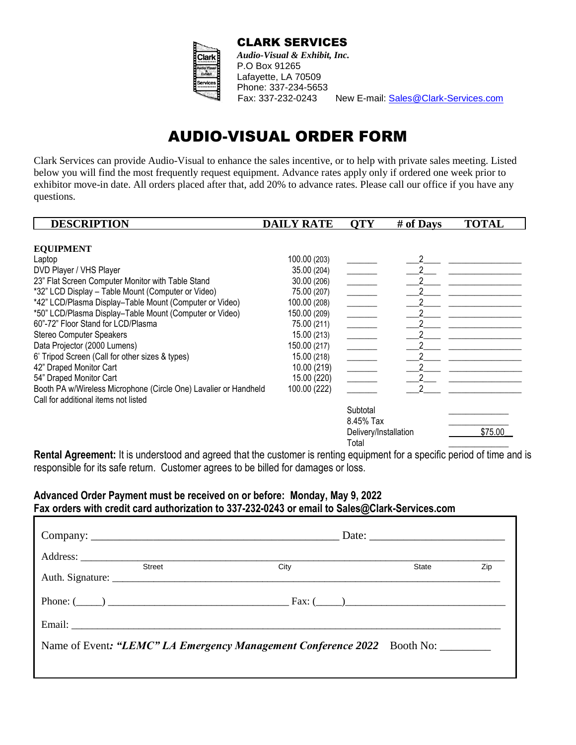

CLARK SERVICES *Audio-Visual & Exhibit, Inc.*

P.O Box 91265 Lafayette, LA 70509 Phone: 337-234-5653<br>Fax: 337-232-0243

New E-mail: [Sales@Clark-Services.com](mailto:clarkservices@bellsouth.net)

# AUDIO-VISUAL ORDER FORM

Clark Services can provide Audio-Visual to enhance the sales incentive, or to help with private sales meeting. Listed below you will find the most frequently request equipment. Advance rates apply only if ordered one week prior to exhibitor move-in date. All orders placed after that, add 20% to advance rates. Please call our office if you have any questions.

| <b>DESCRIPTION</b>                                               | <b>DAILY RATE</b> | <b>OTY</b>               | # of Days | <b>TOTAL</b> |
|------------------------------------------------------------------|-------------------|--------------------------|-----------|--------------|
|                                                                  |                   |                          |           |              |
| <b>EQUIPMENT</b>                                                 |                   |                          |           |              |
| Laptop                                                           | 100.00 (203)      |                          |           |              |
| DVD Player / VHS Player                                          | 35.00 (204)       |                          |           |              |
| 23" Flat Screen Computer Monitor with Table Stand                | 30.00 (206)       | $\overline{\phantom{a}}$ |           |              |
| *32" LCD Display - Table Mount (Computer or Video)               | 75.00 (207)       | $\overline{a}$           |           |              |
| *42" LCD/Plasma Display-Table Mount (Computer or Video)          | 100.00 (208)      | $\mathcal{L}$            |           |              |
| *50" LCD/Plasma Display-Table Mount (Computer or Video)          | 150.00 (209)      |                          |           |              |
| 60"-72" Floor Stand for LCD/Plasma                               | 75.00 (211)       | $\overline{\phantom{a}}$ |           |              |
| <b>Stereo Computer Speakers</b>                                  | 15.00 (213)       |                          |           |              |
| Data Projector (2000 Lumens)                                     | 150.00 (217)      | $\frac{1}{2}$            |           |              |
| 6' Tripod Screen (Call for other sizes & types)                  | 15.00 (218)       |                          |           |              |
| 42" Draped Monitor Cart                                          | 10.00 (219)       | $\overline{\phantom{a}}$ |           |              |
| 54" Draped Monitor Cart                                          | 15.00 (220)       | $\sim$ $\sim$            |           |              |
| Booth PA w/Wireless Microphone (Circle One) Lavalier or Handheld | 100.00 (222)      |                          |           |              |
| Call for additional items not listed                             |                   |                          |           |              |
|                                                                  |                   | Subtotal                 |           |              |
|                                                                  |                   | 8.45% Tax                |           |              |
|                                                                  |                   | Delivery/Installation    |           | \$75.00      |
|                                                                  |                   | Total                    |           |              |

**Rental Agreement:** It is understood and agreed that the customer is renting equipment for a specific period of time and is responsible for its safe return. Customer agrees to be billed for damages or loss.

#### **Advanced Order Payment must be received on or before: Monday, May 9, 2022 Fax orders with credit card authorization to 337-232-0243 or email to Sales@Clark-Services.com**

| <b>Street</b>                                                           | City | State | Zip |
|-------------------------------------------------------------------------|------|-------|-----|
|                                                                         |      |       |     |
| Phone: $(\_\_)$                                                         |      |       |     |
|                                                                         |      |       |     |
| Name of Event: "LEMC" LA Emergency Management Conference 2022 Booth No: |      |       |     |